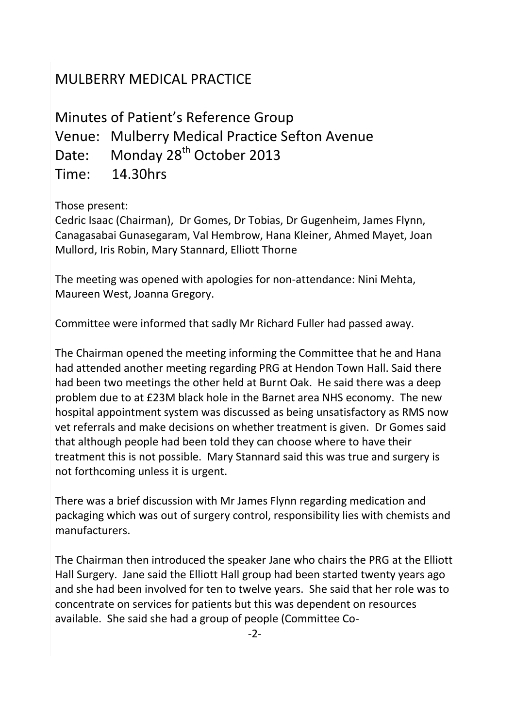## MULBERRY MEDICAL PRACTICE

Minutes of Patient's Reference Group Venue: Mulberry Medical Practice Sefton Avenue Date: Monday 28<sup>th</sup> October 2013 Time: 14.30hrs

Those present:

Cedric Isaac (Chairman), Dr Gomes, Dr Tobias, Dr Gugenheim, James Flynn, Canagasabai Gunasegaram, Val Hembrow, Hana Kleiner, Ahmed Mayet, Joan Mullord, Iris Robin, Mary Stannard, Elliott Thorne

The meeting was opened with apologies for non-attendance: Nini Mehta, Maureen West, Joanna Gregory.

Committee were informed that sadly Mr Richard Fuller had passed away.

The Chairman opened the meeting informing the Committee that he and Hana had attended another meeting regarding PRG at Hendon Town Hall. Said there had been two meetings the other held at Burnt Oak. He said there was a deep problem due to at £23M black hole in the Barnet area NHS economy. The new hospital appointment system was discussed as being unsatisfactory as RMS now vet referrals and make decisions on whether treatment is given. Dr Gomes said that although people had been told they can choose where to have their treatment this is not possible. Mary Stannard said this was true and surgery is not forthcoming unless it is urgent.

There was a brief discussion with Mr James Flynn regarding medication and packaging which was out of surgery control, responsibility lies with chemists and manufacturers.

The Chairman then introduced the speaker Jane who chairs the PRG at the Elliott Hall Surgery. Jane said the Elliott Hall group had been started twenty years ago and she had been involved for ten to twelve years. She said that her role was to concentrate on services for patients but this was dependent on resources available. She said she had a group of people (Committee Co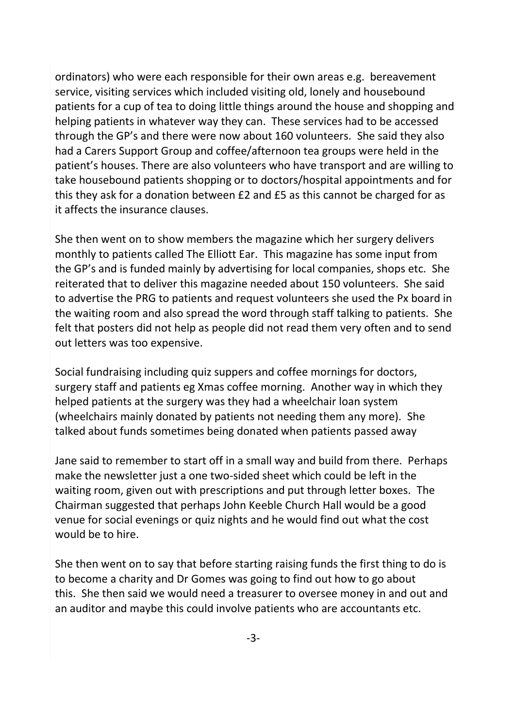ordinators) who were each responsible for their own areas e.g. bereavement service, visiting services which included visiting old, lonely and housebound patients for a cup of tea to doing little things around the house and shopping and helping patients in whatever way they can. These services had to be accessed through the GP's and there were now about 160 volunteers. She said they also had a Carers Support Group and coffee/afternoon tea groups were held in the patient's houses. There are also volunteers who have transport and are willing to take housebound patients shopping or to doctors/hospital appointments and for this they ask for a donation between £2 and £5 as this cannot be charged for as it affects the insurance clauses.

She then went on to show members the magazine which her surgery delivers monthly to patients called The Elliott Ear. This magazine has some input from the GP's and is funded mainly by advertising for local companies, shops etc. She reiterated that to deliver this magazine needed about 150 volunteers. She said to advertise the PRG to patients and request volunteers she used the Px board in the waiting room and also spread the word through staff talking to patients. She felt that posters did not help as people did not read them very often and to send out letters was too expensive.

Social fundraising including quiz suppers and coffee mornings for doctors, surgery staff and patients eg Xmas coffee morning. Another way in which they helped patients at the surgery was they had a wheelchair loan system (wheelchairs mainly donated by patients not needing them any more). She talked about funds sometimes being donated when patients passed away

Jane said to remember to start off in a small way and build from there. Perhaps make the newsletter just a one two-sided sheet which could be left in the waiting room, given out with prescriptions and put through letter boxes. The Chairman suggested that perhaps John Keeble Church Hall would be a good venue for social evenings or quiz nights and he would find out what the cost would be to hire.

She then went on to say that before starting raising funds the first thing to do is to become a charity and Dr Gomes was going to find out how to go about this. She then said we would need a treasurer to oversee money in and out and an auditor and maybe this could involve patients who are accountants etc.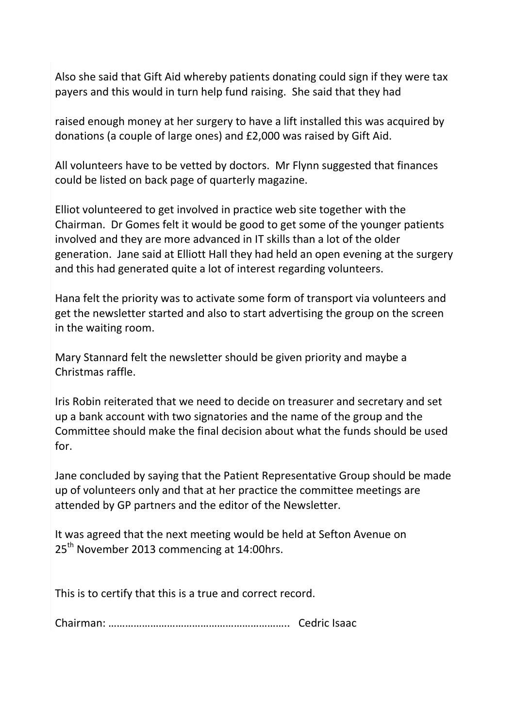Also she said that Gift Aid whereby patients donating could sign if they were tax payers and this would in turn help fund raising. She said that they had

raised enough money at her surgery to have a lift installed this was acquired by donations (a couple of large ones) and £2,000 was raised by Gift Aid.

All volunteers have to be vetted by doctors. Mr Flynn suggested that finances could be listed on back page of quarterly magazine.

Elliot volunteered to get involved in practice web site together with the Chairman. Dr Gomes felt it would be good to get some of the younger patients involved and they are more advanced in IT skills than a lot of the older generation. Jane said at Elliott Hall they had held an open evening at the surgery and this had generated quite a lot of interest regarding volunteers.

Hana felt the priority was to activate some form of transport via volunteers and get the newsletter started and also to start advertising the group on the screen in the waiting room.

Mary Stannard felt the newsletter should be given priority and maybe a Christmas raffle.

Iris Robin reiterated that we need to decide on treasurer and secretary and set up a bank account with two signatories and the name of the group and the Committee should make the final decision about what the funds should be used for.

Jane concluded by saying that the Patient Representative Group should be made up of volunteers only and that at her practice the committee meetings are attended by GP partners and the editor of the Newsletter.

It was agreed that the next meeting would be held at Sefton Avenue on 25<sup>th</sup> November 2013 commencing at 14:00hrs.

This is to certify that this is a true and correct record.

Chairman: ……………………………………………………….. Cedric Isaac